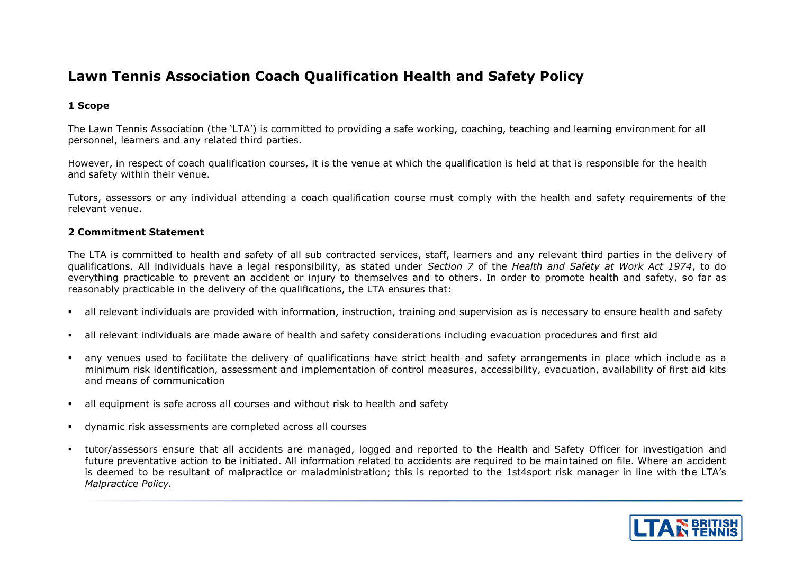## **Lawn Tennis Association Coach Qualification Health and Safety Policy**

## **1 Scope**

The Lawn Tennis Association (the 'LTA') is committed to providing a safe working, coaching, teaching and learning environment for all personnel, learners and any related third parties.

However, in respect of coach qualification courses, it is the venue at which the qualification is held at that is responsible for the health and safety within their venue.

Tutors, assessors or any individual attending a coach qualification course must comply with the health and safety requirements of the relevant venue.

## **2 Commitment Statement**

The LTA is committed to health and safety of all sub contracted services, staff, learners and any relevant third parties in the delivery of qualifications. All individuals have a legal responsibility, as stated under *Section 7* of the *Health and Safety at Work Act 1974*, to do everything practicable to prevent an accident or injury to themselves and to others. In order to promote health and safety, so far as reasonably practicable in the delivery of the qualifications, the LTA ensures that:

- all relevant individuals are provided with information, instruction, training and supervision as is necessary to ensure health and safety
- all relevant individuals are made aware of health and safety considerations including evacuation procedures and first aid
- any venues used to facilitate the delivery of qualifications have strict health and safety arrangements in place which include as a minimum risk identification, assessment and implementation of control measures, accessibility, evacuation, availability of first aid kits and means of communication
- all equipment is safe across all courses and without risk to health and safety
- dynamic risk assessments are completed across all courses
- tutor/assessors ensure that all accidents are managed, logged and reported to the Health and Safety Officer for investigation and future preventative action to be initiated. All information related to accidents are required to be maintained on file. Where an accident is deemed to be resultant of malpractice or maladministration; this is reported to the 1st4sport risk manager in line with the LTA's *Malpractice Policy.*